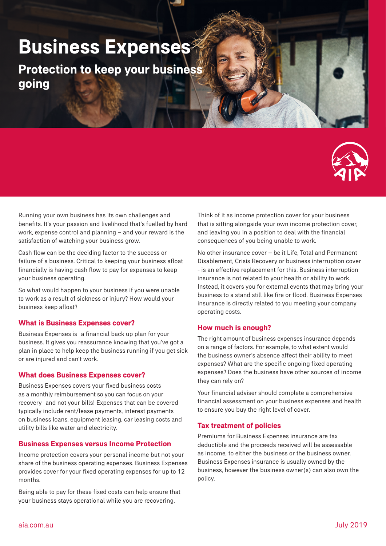# **Business Expenses**

**Protection to keep your business going**



Running your own business has its own challenges and benefits. It's your passion and livelihood that's fuelled by hard work, expense control and planning – and your reward is the satisfaction of watching your business grow.

Cash flow can be the deciding factor to the success or failure of a business. Critical to keeping your business afloat financially is having cash flow to pay for expenses to keep your business operating.

So what would happen to your business if you were unable to work as a result of sickness or injury? How would your business keep afloat?

## **What is Business Expenses cover?**

Business Expenses is a financial back up plan for your business. It gives you reassurance knowing that you've got a plan in place to help keep the business running if you get sick or are injured and can't work.

## **What does Business Expenses cover?**

Business Expenses covers your fixed business costs as a monthly reimbursement so you can focus on your recovery and not your bills! Expenses that can be covered typically include rent/lease payments, interest payments on business loans, equipment leasing, car leasing costs and utility bills like water and electricity.

## **Business Expenses versus Income Protection**

Income protection covers your personal income but not your share of the business operating expenses. Business Expenses provides cover for your fixed operating expenses for up to 12 months.

Being able to pay for these fixed costs can help ensure that your business stays operational while you are recovering.

Think of it as income protection cover for your business that is sitting alongside your own income protection cover, and leaving you in a position to deal with the financial consequences of you being unable to work.

No other insurance cover – be it Life, Total and Permanent Disablement, Crisis Recovery or business interruption cover - is an effective replacement for this. Business interruption insurance is not related to your health or ability to work. Instead, it covers you for external events that may bring your business to a stand still like fire or flood. Business Expenses insurance is directly related to you meeting your company operating costs.

## **How much is enough?**

The right amount of business expenses insurance depends on a range of factors. For example, to what extent would the business owner's absence affect their ability to meet expenses? What are the specific ongoing fixed operating expenses? Does the business have other sources of income they can rely on?

Your financial adviser should complete a comprehensive financial assessment on your business expenses and health to ensure you buy the right level of cover.

## **Tax treatment of policies**

Premiums for Business Expenses insurance are tax deductible and the proceeds received will be assessable as income, to either the business or the business owner. Business Expenses insurance is usually owned by the business, however the business owner(s) can also own the policy.